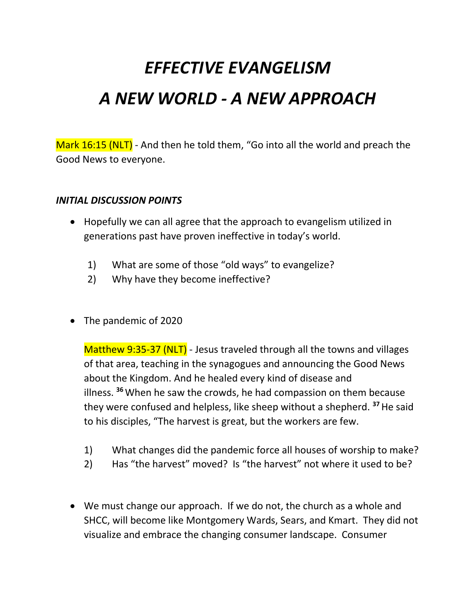## *EFFECTIVE EVANGELISM A NEW WORLD - A NEW APPROACH*

Mark 16:15 (NLT) - And then he told them, "Go into all the world and preach the Good News to everyone.

## *INITIAL DISCUSSION POINTS*

- Hopefully we can all agree that the approach to evangelism utilized in generations past have proven ineffective in today's world.
	- 1) What are some of those "old ways" to evangelize?
	- 2) Why have they become ineffective?
- The pandemic of 2020

Matthew 9:35-37 (NLT) - Jesus traveled through all the towns and villages of that area, teaching in the synagogues and announcing the Good News about the Kingdom. And he healed every kind of disease and illness. **<sup>36</sup>**When he saw the crowds, he had compassion on them because they were confused and helpless, like sheep without a shepherd. **<sup>37</sup>**He said to his disciples, "The harvest is great, but the workers are few.

- 1) What changes did the pandemic force all houses of worship to make?
- 2) Has "the harvest" moved? Is "the harvest" not where it used to be?
- We must change our approach. If we do not, the church as a whole and SHCC, will become like Montgomery Wards, Sears, and Kmart. They did not visualize and embrace the changing consumer landscape. Consumer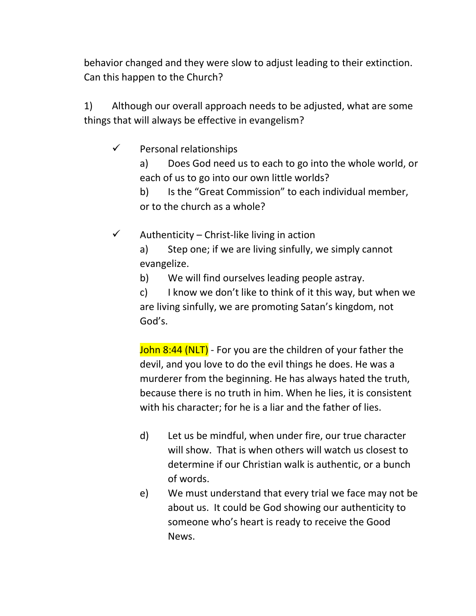behavior changed and they were slow to adjust leading to their extinction. Can this happen to the Church?

1) Although our overall approach needs to be adjusted, what are some things that will always be effective in evangelism?

 $\checkmark$  Personal relationships

a) Does God need us to each to go into the whole world, or each of us to go into our own little worlds?

b) Is the "Great Commission" to each individual member, or to the church as a whole?

 $\checkmark$  – Authenticity – Christ-like living in action

a) Step one; if we are living sinfully, we simply cannot evangelize.

b) We will find ourselves leading people astray.

c) I know we don't like to think of it this way, but when we are living sinfully, we are promoting Satan's kingdom, not God's.

John 8:44 (NLT) - For you are the children of your father the devil, and you love to do the evil things he does. He was a murderer from the beginning. He has always hated the truth, because there is no truth in him. When he lies, it is consistent with his character; for he is a liar and the father of lies.

- d) Let us be mindful, when under fire, our true character will show. That is when others will watch us closest to determine if our Christian walk is authentic, or a bunch of words.
- e) We must understand that every trial we face may not be about us. It could be God showing our authenticity to someone who's heart is ready to receive the Good News.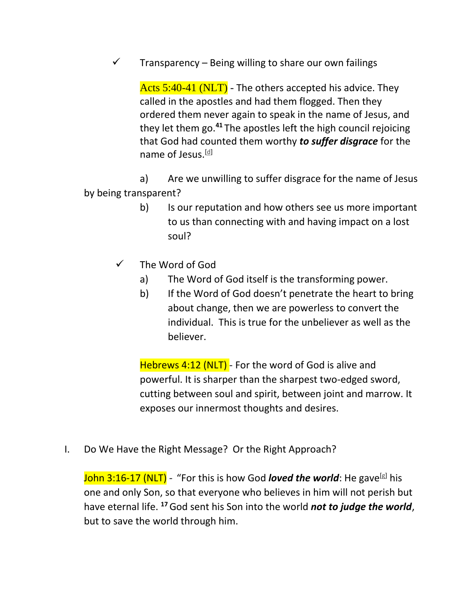$\checkmark$  – Transparency – Being willing to share our own failings

Acts 5:40-41 (NLT) - The others accepted his advice. They called in the apostles and had them flogged. Then they ordered them never again to speak in the name of Jesus, and they let them go.**<sup>41</sup>** The apostles left the high council rejoicing that God had counted them worthy *to suffer disgrace* for the name of Jesus.<sup>[\[d\]](https://www.biblegateway.com/passage/?search=acts+5&version=NLT#fen-NLT-27066d)</sup>

a) Are we unwilling to suffer disgrace for the name of Jesus by being transparent?

- b) Is our reputation and how others see us more important to us than connecting with and having impact on a lost soul?
- $\checkmark$  The Word of God
	- a) The Word of God itself is the transforming power.
	- b) If the Word of God doesn't penetrate the heart to bring about change, then we are powerless to convert the individual. This is true for the unbeliever as well as the believer.

Hebrews 4:12 (NLT) - For the word of God is alive and powerful. It is sharper than the sharpest two-edged sword, cutting between soul and spirit, between joint and marrow. It exposes our innermost thoughts and desires.

I. Do We Have the Right Message? Or the Right Approach?

John 3:16-17 (NLT) - "For this is how God *loved the world*: He gave<sup>[\[g\]](https://www.biblegateway.com/passage/?search=john+3&version=NLT#fen-NLT-26103g)</sup> his one and only Son, so that everyone who believes in him will not perish but have eternal life. **<sup>17</sup>**God sent his Son into the world *not to judge the world*, but to save the world through him.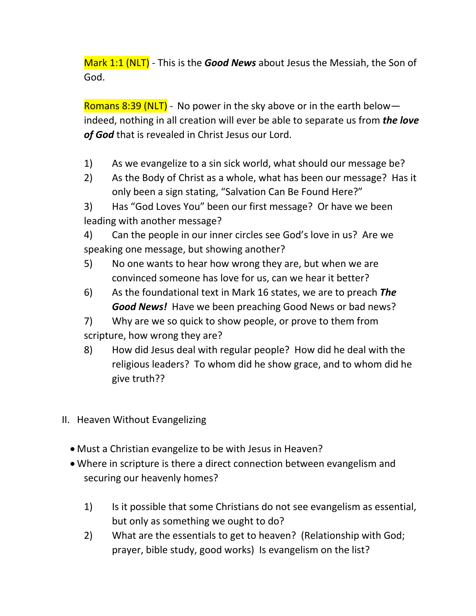Mark 1:1 (NLT) - This is the *Good News* about Jesus the Messiah, the Son of God.

Romans 8:39 (NLT) - No power in the sky above or in the earth below  $$ indeed, nothing in all creation will ever be able to separate us from *the love of God* that is revealed in Christ Jesus our Lord.

- 1) As we evangelize to a sin sick world, what should our message be?
- 2) As the Body of Christ as a whole, what has been our message? Has it only been a sign stating, "Salvation Can Be Found Here?"
- 3) Has "God Loves You" been our first message? Or have we been leading with another message?
- 4) Can the people in our inner circles see God's love in us? Are we speaking one message, but showing another?
- 5) No one wants to hear how wrong they are, but when we are convinced someone has love for us, can we hear it better?
- 6) As the foundational text in Mark 16 states, we are to preach *The Good News!* Have we been preaching Good News or bad news?
- 7) Why are we so quick to show people, or prove to them from scripture, how wrong they are?
- 8) How did Jesus deal with regular people? How did he deal with the religious leaders? To whom did he show grace, and to whom did he give truth??
- II. Heaven Without Evangelizing
	- Must a Christian evangelize to be with Jesus in Heaven?
	- Where in scripture is there a direct connection between evangelism and securing our heavenly homes?
		- 1) Is it possible that some Christians do not see evangelism as essential, but only as something we ought to do?
		- 2) What are the essentials to get to heaven? (Relationship with God; prayer, bible study, good works) Is evangelism on the list?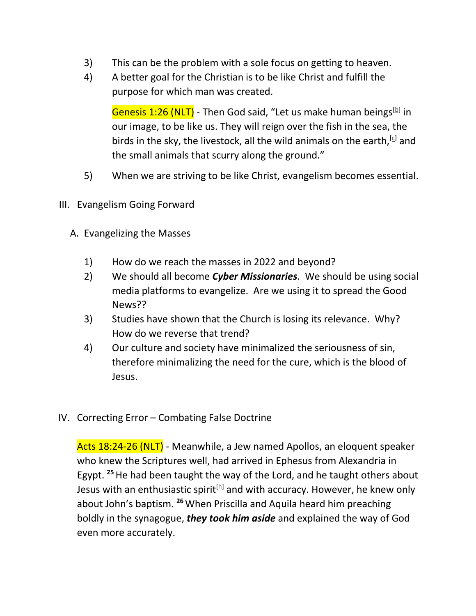- 3) This can be the problem with a sole focus on getting to heaven.
- 4) A better goal for the Christian is to be like Christ and fulfill the purpose for which man was created.

Genesis 1:26 (NLT) - Then God said, "Let us make human beings<sup>[\[b\]](https://www.biblegateway.com/passage/?search=genesis+1&version=NLT#fen-NLT-26b)</sup> in our image, to be like us. They will reign over the fish in the sea, the birds in the sky, the livestock, all the wild animals on the earth,  $\left[\frac{c}{2}\right]$  and the small animals that scurry along the ground."

- 5) When we are striving to be like Christ, evangelism becomes essential.
- III. Evangelism Going Forward
	- A. Evangelizing the Masses
		- 1) How do we reach the masses in 2022 and beyond?
		- 2) We should all become *Cyber Missionaries*. We should be using social media platforms to evangelize. Are we using it to spread the Good News??
		- 3) Studies have shown that the Church is losing its relevance. Why? How do we reverse that trend?
		- 4) Our culture and society have minimalized the seriousness of sin, therefore minimalizing the need for the cure, which is the blood of Jesus.
- IV. Correcting Error Combating False Doctrine

Acts 18:24-26 (NLT) - Meanwhile, a Jew named Apollos, an eloquent speaker who knew the Scriptures well, had arrived in Ephesus from Alexandria in Egypt. **<sup>25</sup>**He had been taught the way of the Lord, and he taught others about Jesus with an enthusiastic spirit<sup>[\[h\]](https://www.biblegateway.com/passage/?search=acts+18&version=NLT#fen-NLT-27546h)</sup> and with accuracy. However, he knew only about John's baptism. **<sup>26</sup>**When Priscilla and Aquila heard him preaching boldly in the synagogue, *they took him aside* and explained the way of God even more accurately.